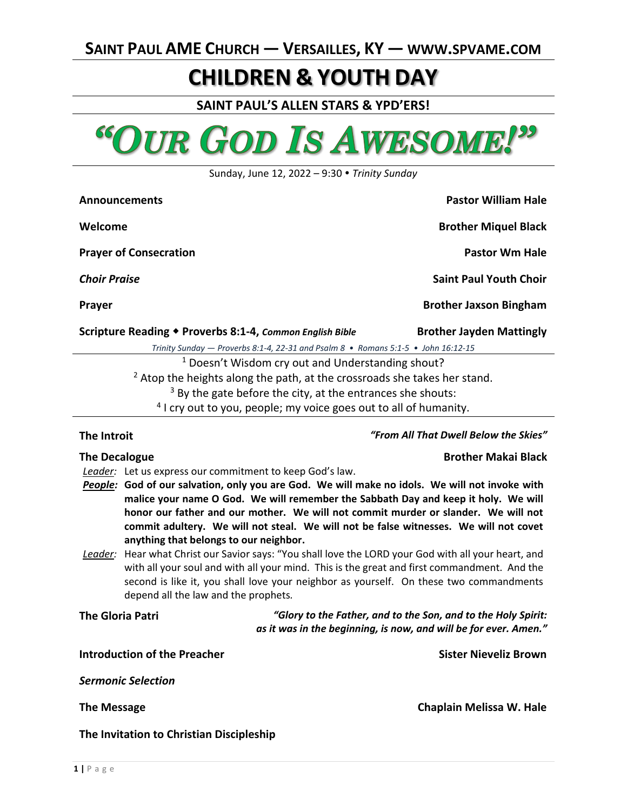# **CHILDREN & YOUTH DAY**

**SAINT PAUL'S ALLEN STARS & YPD'ERS!**



Sunday, June 12, 2022 – 9:30 *Trinity Sunday*

| <b>Announcements</b>                                                                | <b>Pastor William Hale</b>      |
|-------------------------------------------------------------------------------------|---------------------------------|
| Welcome                                                                             | <b>Brother Miquel Black</b>     |
| <b>Prayer of Consecration</b>                                                       | <b>Pastor Wm Hale</b>           |
| <b>Choir Praise</b>                                                                 | <b>Saint Paul Youth Choir</b>   |
| <b>Prayer</b>                                                                       | <b>Brother Jaxson Bingham</b>   |
| Scripture Reading ◆ Proverbs 8:1-4, Common English Bible                            | <b>Brother Jayden Mattingly</b> |
| Trinity Sunday $-$ Proverbs 8:1-4, 22-31 and Psalm 8 • Romans 5:1-5 • John 16:12-15 |                                 |
| <sup>1</sup> Doesn't Wisdom cry out and Understanding shout?                        |                                 |
|                                                                                     |                                 |

 $<sup>2</sup>$  Atop the heights along the path, at the crossroads she takes her stand.</sup>

 $3$  By the gate before the city, at the entrances she shouts:

<sup>4</sup> I cry out to you, people; my voice goes out to all of humanity.

### **The Introit** *"From All That Dwell Below the Skies"*

- *Leader:* Let us express our commitment to keep God's law.
- *People:* **God of our salvation, only you are God. We will make no idols. We will not invoke with malice your name O God. We will remember the Sabbath Day and keep it holy. We will honor our father and our mother. We will not commit murder or slander. We will not commit adultery. We will not steal. We will not be false witnesses. We will not covet anything that belongs to our neighbor.**
- *Leader:* Hear what Christ our Savior says: "You shall love the LORD your God with all your heart, and with all your soul and with all your mind. This is the great and first commandment. And the second is like it, you shall love your neighbor as yourself. On these two commandments depend all the law and the prophets*.*

**The Gloria Patri** *"Glory to the Father, and to the Son, and to the Holy Spirit: as it was in the beginning, is now, and will be for ever. Amen."*

**Introduction of the Preacher Sister Nieveliz Brown**

*Sermonic Selection*

**The Message Chaplain Melissa W. Hale**

**The Invitation to Christian Discipleship**

**The Decalogue Brother Makai Black**